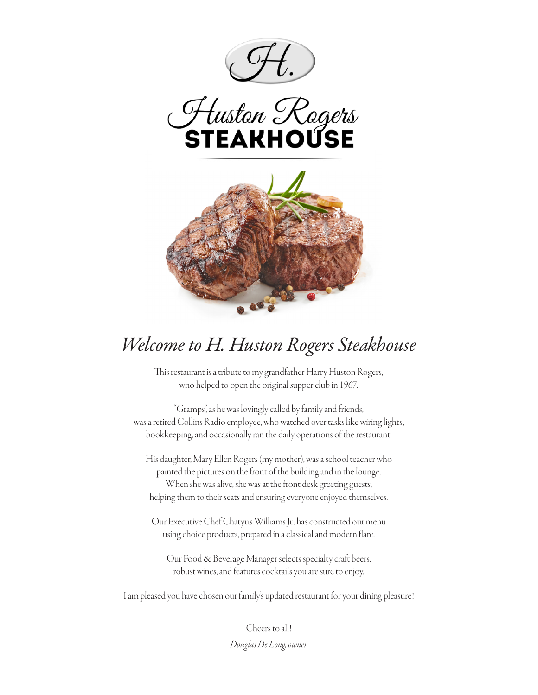





# *Welcome to H. Huston Rogers Steakhouse*

This restaurant is a tribute to my grandfather Harry Huston Rogers, who helped to open the original supper club in 1967.

"Gramps", as he was lovingly called by family and friends, was a retired Collins Radio employee, who watched over tasks like wiring lights, bookkeeping, and occasionally ran the daily operations of the restaurant.

His daughter, Mary Ellen Rogers (my mother), was a school teacher who painted the pictures on the front of the building and in the lounge. When she was alive, she was at the front desk greeting guests, helping them to their seats and ensuring everyone enjoyed themselves.

Our Executive Chef Chatyris Williams Jr., has constructed our menu using choice products, prepared in a classical and modern flare.

Our Food & Beverage Manager selects specialty craft beers, robust wines, and features cocktails you are sure to enjoy.

I am pleased you have chosen our family's updated restaurant for your dining pleasure!

Cheers to all! *Douglas De Long, owner*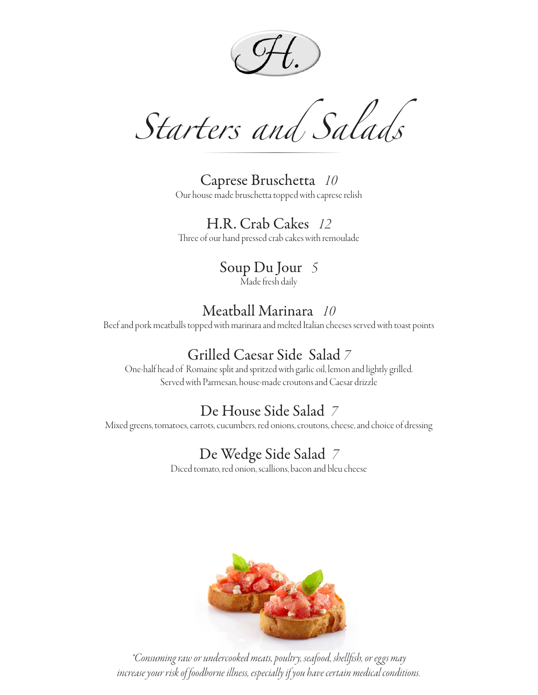*Starters and Salads*

Caprese Bruschetta *10* Our house made bruschetta topped with caprese relish

H.R. Crab Cakes *12* Three of our hand pressed crab cakes with remoulade

> Soup Du Jour *5* Made fresh daily

#### Meatball Marinara *10*

Beef and pork meatballs topped with marinara and melted Italian cheeses served with toast points

#### Grilled Caesar Side Salad *7*

One-half head of Romaine split and spritzed with garlic oil, lemon and lightly grilled. Served with Parmesan, house-made croutons and Caesar drizzle

#### De House Side Salad *7*

Mixed greens, tomatoes, carrots, cucumbers, red onions, croutons, cheese, and choice of dressing

#### De Wedge Side Salad *7*

Diced tomato, red onion, scallions, bacon and bleu cheese



*\*Consuming raw or undercooked meats, poultry, seafood, shellfish, or eggs may increase your risk of foodborne illness, especially if you have certain medical conditions.*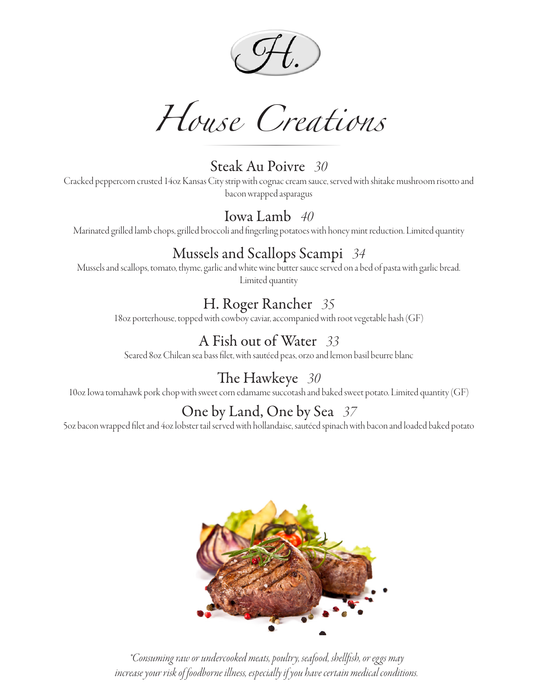

*House Creations*

Steak Au Poivre *30* Cracked peppercorn crusted 14oz Kansas City strip with cognac cream sauce, served with shitake mushroom risotto and bacon wrapped asparagus

#### Iowa Lamb *40*

Marinated grilled lamb chops, grilled broccoli and fingerling potatoes with honey mint reduction. Limited quantity

#### Mussels and Scallops Scampi *34*

Mussels and scallops, tomato, thyme, garlic and white wine butter sauce served on a bed of pasta with garlic bread. Limited quantity

#### H. Roger Rancher *35*

18oz porterhouse, topped with cowboy caviar, accompanied with root vegetable hash (GF)

## A Fish out of Water *33*

Seared 8oz Chilean sea bass filet, with sautéed peas, orzo and lemon basil beurre blanc

#### The Hawkeye *30*

10oz Iowa tomahawk pork chop with sweet corn edamame succotash and baked sweet potato. Limited quantity (GF)

#### One by Land, One by Sea *37*

5oz bacon wrapped filet and 4oz lobster tail served with hollandaise, sautéed spinach with bacon and loaded baked potato



*\*Consuming raw or undercooked meats, poultry, seafood, shellfish, or eggs may increase your risk of foodborne illness, especially if you have certain medical conditions.*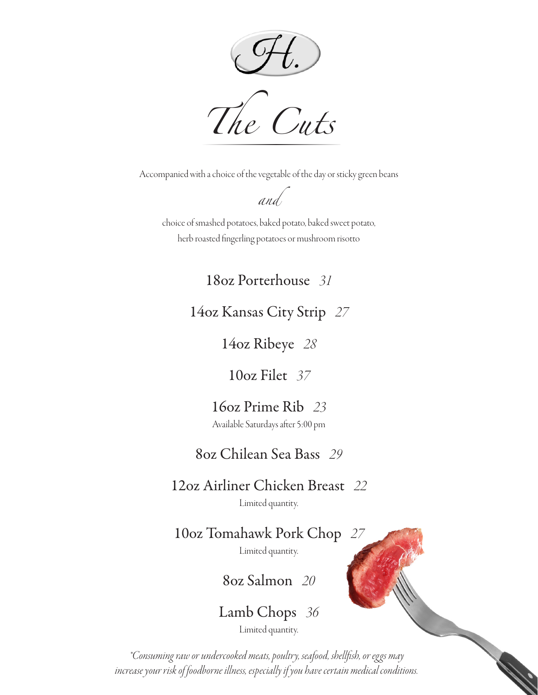

Accompanied with a choice of the vegetable of the day or sticky green beans

*and*

choice of smashed potatoes, baked potato, baked sweet potato, herb roasted fingerling potatoes or mushroom risotto

18oz Porterhouse *31*

14oz Kansas City Strip *27*

14oz Ribeye *28*

10oz Filet *37*

16oz Prime Rib *23* Available Saturdays after 5:00 pm

8oz Chilean Sea Bass *29*

12oz Airliner Chicken Breast *22*

Limited quantity.

10oz Tomahawk Pork Chop *27* Limited quantity.

8oz Salmon *20*

Lamb Chops *36* Limited quantity.